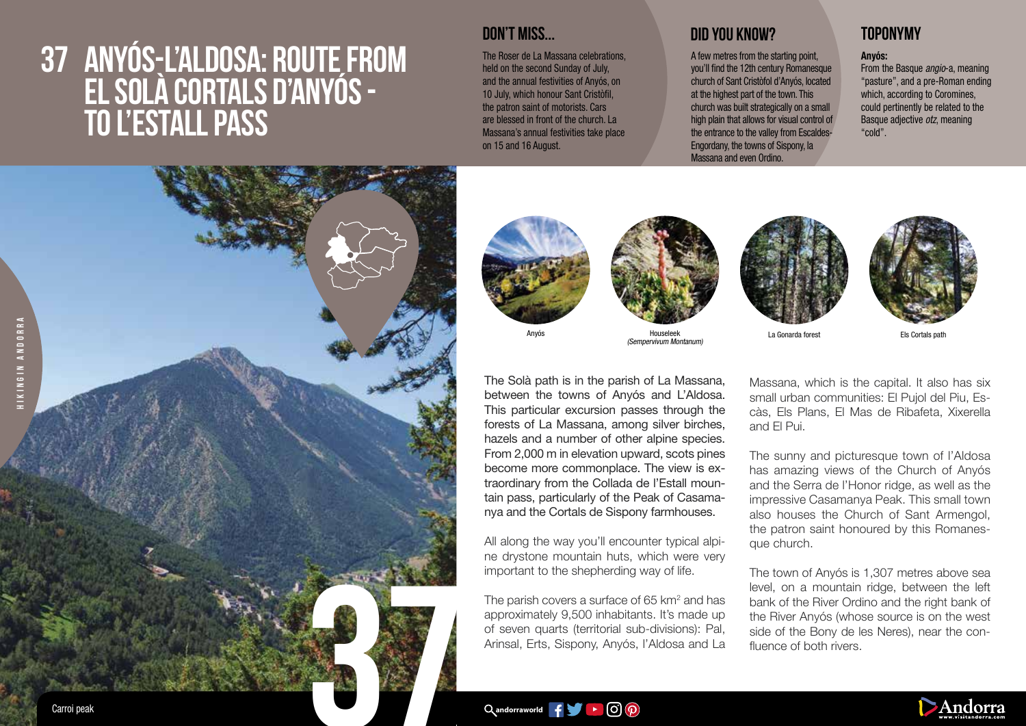# **37 ANYÓS-L'ALDOSA: ROUTE FROM EL SOLÀ CORTALS D'ANYÓS - TO L'ESTALL PASS**

## **DON'T MISS...**

The Roser de La Massana celebrations. held on the second Sunday of July, and the annual festivities of Anyós, on 10 July, which honour Sant Cristòfil, the patron saint of motorists. Cars are blessed in front of the church. La Massana's annual festivities take place on 15 and 16 August.

Anyós

## **DID YOU KNOW? TOPONYMY**

A few metres from the starting point, you'll find the 12th century Romanesque church of Sant Cristòfol d'Anyós, located at the highest part of the town. This church was built strategically on a small high plain that allows for visual control of the entrance to the valley from Escaldes-Engordany, the towns of Sispony, la Massana and even Ordino.

### Anyós:

From the Basque *angio*-a, meaning "pasture", and a pre-Roman ending which, according to Coromines. could pertinently be related to the Basque adjective *otz*, meaning "cold".



The Solà path is in the parish of La Massana, between the towns of Anyós and L'Aldosa. This particular excursion passes through the forests of La Massana, among silver birches, hazels and a number of other alpine species. From 2,000 m in elevation upward, scots pines become more commonplace. The view is extraordinary from the Collada de l'Estall mountain pass, particularly of the Peak of Casamanya and the Cortals de Sispony farmhouses.

Houseleek (Sempervivum Montanum)

All along the way you'll encounter typical alpine drystone mountain huts, which were very important to the shepherding way of life.

The parish covers a surface of 65  $km^2$  and has approximately 9,500 inhabitants. It's made up of seven quarts (territorial sub-divisions): Pal, Arinsal, Erts, Sispony, Anyós, l'Aldosa and La





La Gonarda forest Els Cortals path

Massana, which is the capital. It also has six small urban communities: El Pujol del Piu, Escàs, Els Plans, El Mas de Ribafeta, Xixerella and El Pui.

The sunny and picturesque town of l'Aldosa has amazing views of the Church of Anyós and the Serra de l'Honor ridge, as well as the impressive Casamanya Peak. This small town also houses the Church of Sant Armengol, the patron saint honoured by this Romanesque church.

The town of Anyós is 1,307 metres above sea level, on a mountain ridge, between the left bank of the River Ordino and the right bank of the River Anyós (whose source is on the west side of the Bony de les Neres), near the confluence of both rivers.

 $\alpha$ andorraworld  $\mathbf{f} = \alpha$   $\alpha$